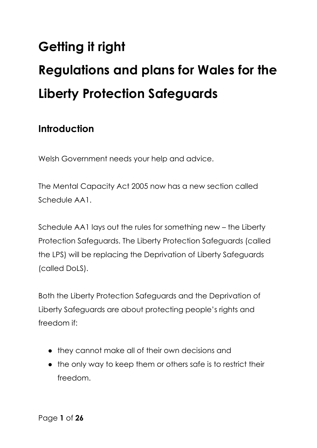# **Getting it right Regulations and plans for Wales for the Liberty Protection Safeguards**

## **Introduction**

Welsh Government needs your help and advice.

The Mental Capacity Act 2005 now has a new section called Schedule AA1.

Schedule AA1 lays out the rules for something new – the Liberty Protection Safeguards. The Liberty Protection Safeguards (called the LPS) will be replacing the Deprivation of Liberty Safeguards (called DoLS).

Both the Liberty Protection Safeguards and the Deprivation of Liberty Safeguards are about protecting people's rights and freedom if:

- they cannot make all of their own decisions and
- the only way to keep them or others safe is to restrict their freedom.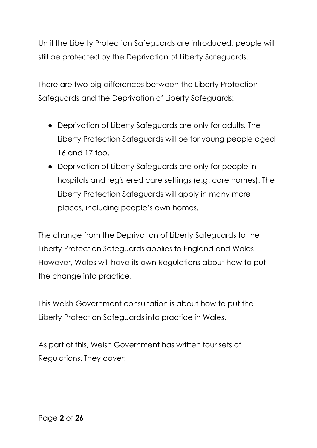Until the Liberty Protection Safeguards are introduced, people will still be protected by the Deprivation of Liberty Safeguards.

There are two big differences between the Liberty Protection Safeguards and the Deprivation of Liberty Safeguards:

- Deprivation of Liberty Safeguards are only for adults. The Liberty Protection Safeguards will be for young people aged 16 and 17 too.
- Deprivation of Liberty Safeguards are only for people in hospitals and registered care settings (e.g. care homes). The Liberty Protection Safeguards will apply in many more places, including people's own homes.

The change from the Deprivation of Liberty Safeguards to the Liberty Protection Safeguards applies to England and Wales. However, Wales will have its own Regulations about how to put the change into practice.

This Welsh Government consultation is about how to put the Liberty Protection Safeguards into practice in Wales.

As part of this, Welsh Government has written four sets of Regulations. They cover: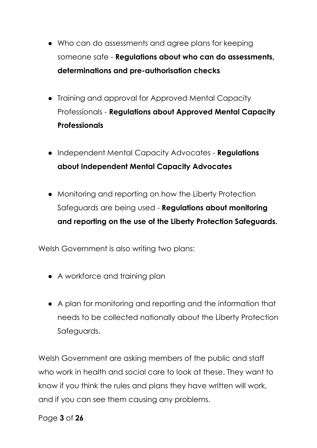- Who can do assessments and agree plans for keeping someone safe - **Regulations about who can do assessments, determinations and pre-authorisation checks**
- Training and approval for Approved Mental Capacity Professionals - **Regulations about Approved Mental Capacity Professionals**
- Independent Mental Capacity Advocates **Regulations about Independent Mental Capacity Advocates**
- Monitoring and reporting on how the Liberty Protection Safeguards are being used - **Regulations about monitoring and reporting on the use of the Liberty Protection Safeguards.**

Welsh Government is also writing two plans:

- A workforce and training plan
- A plan for monitoring and reporting and the information that needs to be collected nationally about the Liberty Protection Safeguards.

Welsh Government are asking members of the public and staff who work in health and social care to look at these. They want to know if you think the rules and plans they have written will work, and if you can see them causing any problems.

Page **3** of **26**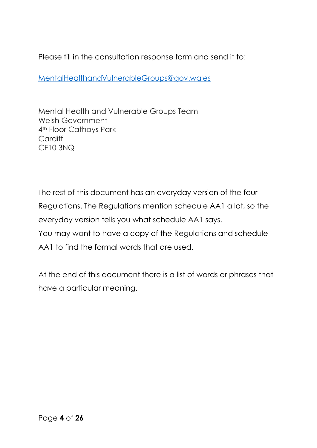Please fill in the consultation response form and send it to:

[MentalHealthandVulnerableGroups@gov.wales](mailto:MentalHealthandVulnerableGroups@gov.wales)

Mental Health and Vulnerable Groups Team Welsh Government 4th Floor Cathays Park **Cardiff** CF10 3NQ

The rest of this document has an everyday version of the four Regulations. The Regulations mention schedule AA1 a lot, so the everyday version tells you what schedule AA1 says. You may want to have a copy of the Regulations and schedule AA1 to find the formal words that are used.

At the end of this document there is a list of words or phrases that have a particular meaning.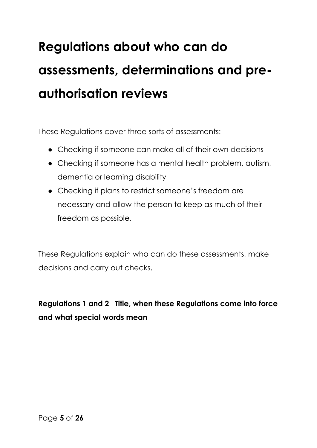# **Regulations about who can do assessments, determinations and preauthorisation reviews**

These Regulations cover three sorts of assessments:

- Checking if someone can make all of their own decisions
- Checking if someone has a mental health problem, autism, dementia or learning disability
- Checking if plans to restrict someone's freedom are necessary and allow the person to keep as much of their freedom as possible.

These Regulations explain who can do these assessments, make decisions and carry out checks.

**Regulations 1 and 2 Title, when these Regulations come into force and what special words mean**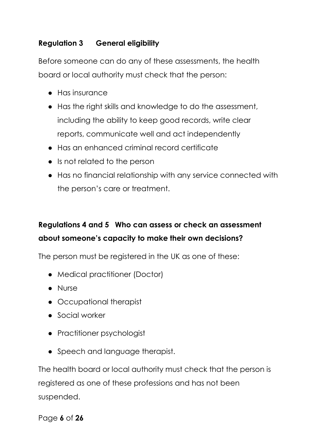## **Regulation 3 General eligibility**

Before someone can do any of these assessments, the health board or local authority must check that the person:

- Has insurance
- Has the right skills and knowledge to do the assessment, including the ability to keep good records, write clear reports, communicate well and act independently
- Has an enhanced criminal record certificate
- Is not related to the person
- Has no financial relationship with any service connected with the person's care or treatment.

## **Regulations 4 and 5 Who can assess or check an assessment about someone's capacity to make their own decisions?**

The person must be registered in the UK as one of these:

- Medical practitioner (Doctor)
- Nurse
- Occupational therapist
- Social worker
- Practitioner psychologist
- Speech and language therapist.

The health board or local authority must check that the person is registered as one of these professions and has not been suspended.

Page **6** of **26**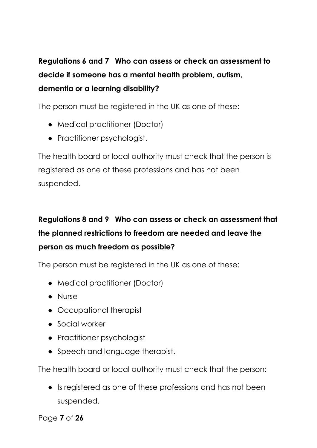## **Regulations 6 and 7 Who can assess or check an assessment to decide if someone has a mental health problem, autism, dementia or a learning disability?**

The person must be registered in the UK as one of these:

- Medical practitioner (Doctor)
- Practitioner psychologist.

The health board or local authority must check that the person is registered as one of these professions and has not been suspended.

## **Regulations 8 and 9 Who can assess or check an assessment that the planned restrictions to freedom are needed and leave the person as much freedom as possible?**

The person must be registered in the UK as one of these:

- Medical practitioner (Doctor)
- Nurse
- Occupational therapist
- Social worker
- Practitioner psychologist
- Speech and language therapist.

The health board or local authority must check that the person:

● Is registered as one of these professions and has not been suspended.

Page **7** of **26**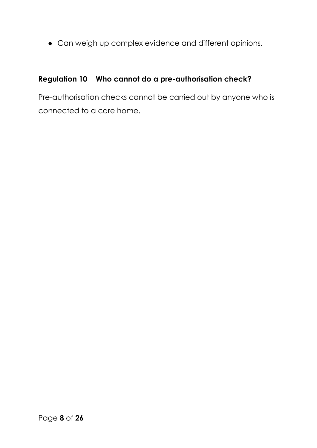● Can weigh up complex evidence and different opinions.

## **Regulation 10 Who cannot do a pre-authorisation check?**

Pre-authorisation checks cannot be carried out by anyone who is connected to a care home.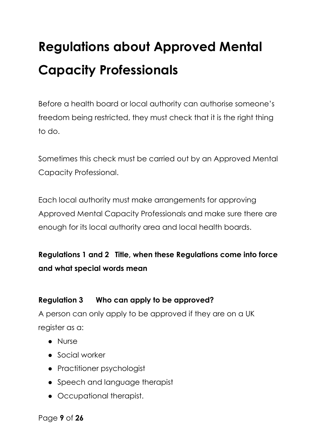## **Regulations about Approved Mental Capacity Professionals**

Before a health board or local authority can authorise someone's freedom being restricted, they must check that it is the right thing to do.

Sometimes this check must be carried out by an Approved Mental Capacity Professional.

Each local authority must make arrangements for approving Approved Mental Capacity Professionals and make sure there are enough for its local authority area and local health boards.

**Regulations 1 and 2 Title, when these Regulations come into force and what special words mean**

### **Regulation 3 Who can apply to be approved?**

A person can only apply to be approved if they are on a UK register as a:

- Nurse
- Social worker
- Practitioner psychologist
- Speech and language therapist
- Occupational therapist.

Page **9** of **26**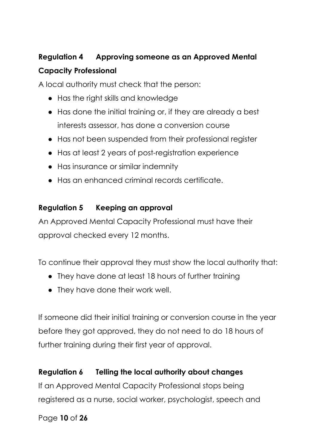## **Regulation 4 Approving someone as an Approved Mental Capacity Professional**

A local authority must check that the person:

- Has the right skills and knowledge
- Has done the initial training or, if they are already a best interests assessor, has done a conversion course
- Has not been suspended from their professional register
- Has at least 2 years of post-registration experience
- Has insurance or similar indemnity
- Has an enhanced criminal records certificate.

### **Regulation 5 Keeping an approval**

An Approved Mental Capacity Professional must have their approval checked every 12 months.

To continue their approval they must show the local authority that:

- They have done at least 18 hours of further training
- They have done their work well.

If someone did their initial training or conversion course in the year before they got approved, they do not need to do 18 hours of further training during their first year of approval.

## **Regulation 6 Telling the local authority about changes**

If an Approved Mental Capacity Professional stops being registered as a nurse, social worker, psychologist, speech and

### Page **10** of **26**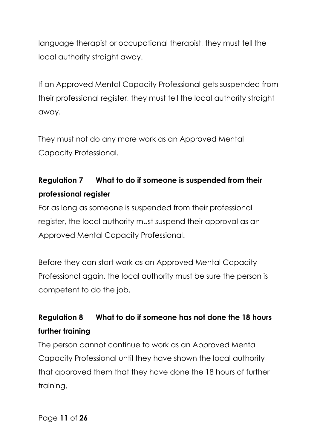language therapist or occupational therapist, they must tell the local authority straight away.

If an Approved Mental Capacity Professional gets suspended from their professional register, they must tell the local authority straight away.

They must not do any more work as an Approved Mental Capacity Professional.

## **Regulation 7 What to do if someone is suspended from their professional register**

For as long as someone is suspended from their professional register, the local authority must suspend their approval as an Approved Mental Capacity Professional.

Before they can start work as an Approved Mental Capacity Professional again, the local authority must be sure the person is competent to do the job.

## **Regulation 8 What to do if someone has not done the 18 hours further training**

The person cannot continue to work as an Approved Mental Capacity Professional until they have shown the local authority that approved them that they have done the 18 hours of further training.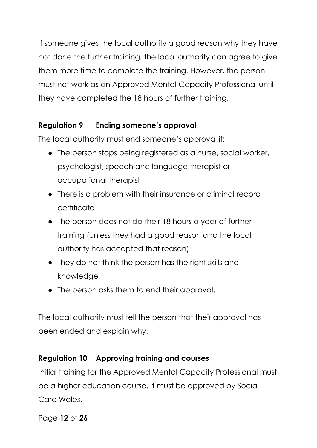If someone gives the local authority a good reason why they have not done the further training, the local authority can agree to give them more time to complete the training. However, the person must not work as an Approved Mental Capacity Professional until they have completed the 18 hours of further training.

## **Regulation 9 Ending someone's approval**

The local authority must end someone's approval if:

- The person stops being registered as a nurse, social worker, psychologist, speech and language therapist or occupational therapist
- There is a problem with their insurance or criminal record certificate
- The person does not do their 18 hours a year of further training (unless they had a good reason and the local authority has accepted that reason)
- They do not think the person has the right skills and knowledge
- The person asks them to end their approval.

The local authority must tell the person that their approval has been ended and explain why.

### **Regulation 10 Approving training and courses**

Initial training for the Approved Mental Capacity Professional must be a higher education course. It must be approved by Social Care Wales.

Page **12** of **26**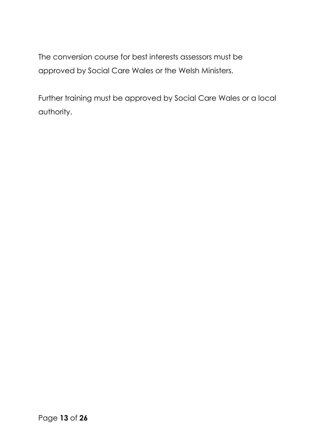The conversion course for best interests assessors must be approved by Social Care Wales or the Welsh Ministers.

Further training must be approved by Social Care Wales or a local authority.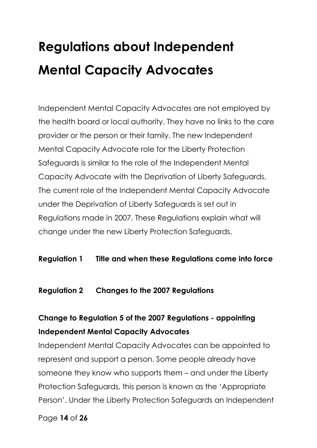## **Regulations about Independent Mental Capacity Advocates**

Independent Mental Capacity Advocates are not employed by the health board or local authority. They have no links to the care provider or the person or their family. The new Independent Mental Capacity Advocate role for the Liberty Protection Safeguards is similar to the role of the Independent Mental Capacity Advocate with the Deprivation of Liberty Safeguards. The current role of the Independent Mental Capacity Advocate under the Deprivation of Liberty Safeguards is set out in Regulations made in 2007. These Regulations explain what will change under the new Liberty Protection Safeguards.

### **Regulation 1 Title and when these Regulations come into force**

#### **Regulation 2 Changes to the 2007 Regulations**

## **Change to Regulation 5 of the 2007 Regulations - appointing Independent Mental Capacity Advocates**

Independent Mental Capacity Advocates can be appointed to represent and support a person. Some people already have someone they know who supports them – and under the Liberty Protection Safeguards, this person is known as the 'Appropriate Person'. Under the Liberty Protection Safeguards an Independent

Page **14** of **26**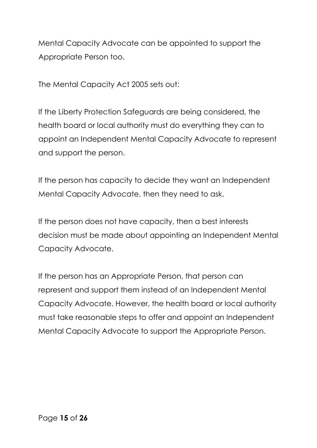Mental Capacity Advocate can be appointed to support the Appropriate Person too.

The Mental Capacity Act 2005 sets out:

If the Liberty Protection Safeguards are being considered, the health board or local authority must do everything they can to appoint an Independent Mental Capacity Advocate to represent and support the person.

If the person has capacity to decide they want an Independent Mental Capacity Advocate, then they need to ask.

If the person does not have capacity, then a best interests decision must be made about appointing an Independent Mental Capacity Advocate.

If the person has an Appropriate Person, that person can represent and support them instead of an Independent Mental Capacity Advocate. However, the health board or local authority must take reasonable steps to offer and appoint an Independent Mental Capacity Advocate to support the Appropriate Person.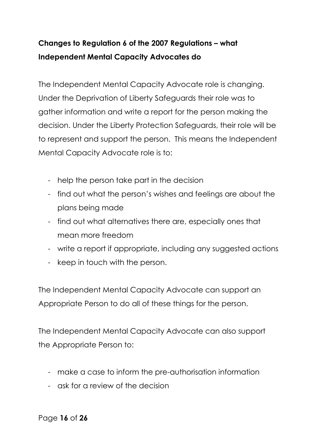## **Changes to Regulation 6 of the 2007 Regulations – what Independent Mental Capacity Advocates do**

The Independent Mental Capacity Advocate role is changing. Under the Deprivation of Liberty Safeguards their role was to gather information and write a report for the person making the decision. Under the Liberty Protection Safeguards, their role will be to represent and support the person. This means the Independent Mental Capacity Advocate role is to:

- help the person take part in the decision
- find out what the person's wishes and feelings are about the plans being made
- find out what alternatives there are, especially ones that mean more freedom
- write a report if appropriate, including any suggested actions
- keep in touch with the person.

The Independent Mental Capacity Advocate can support an Appropriate Person to do all of these things for the person.

The Independent Mental Capacity Advocate can also support the Appropriate Person to:

- make a case to inform the pre-authorisation information
- ask for a review of the decision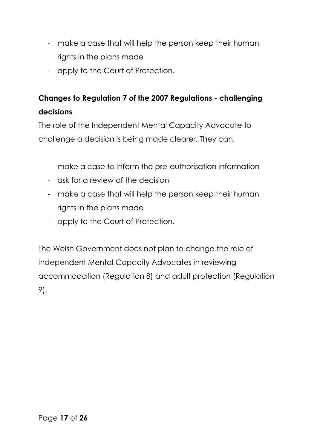- make a case that will help the person keep their human rights in the plans made
- apply to the Court of Protection.

## **Changes to Regulation 7 of the 2007 Regulations - challenging decisions**

The role of the Independent Mental Capacity Advocate to challenge a decision is being made clearer. They can:

- make a case to inform the pre-authorisation information
- ask for a review of the decision
- make a case that will help the person keep their human rights in the plans made
- apply to the Court of Protection.

The Welsh Government does not plan to change the role of Independent Mental Capacity Advocates in reviewing accommodation (Regulation 8) and adult protection (Regulation 9).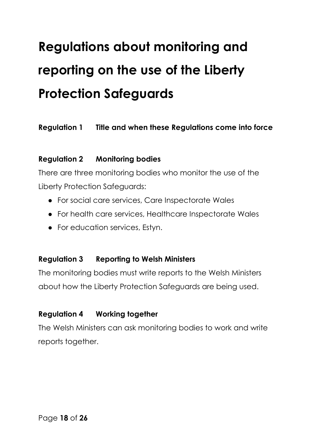# **Regulations about monitoring and reporting on the use of the Liberty Protection Safeguards**

### **Regulation 1 Title and when these Regulations come into force**

#### **Regulation 2 Monitoring bodies**

There are three monitoring bodies who monitor the use of the Liberty Protection Safeguards:

- For social care services, Care Inspectorate Wales
- For health care services, Healthcare Inspectorate Wales
- For education services, Estyn.

### **Regulation 3 Reporting to Welsh Ministers**

The monitoring bodies must write reports to the Welsh Ministers about how the Liberty Protection Safeguards are being used.

### **Regulation 4 Working together**

The Welsh Ministers can ask monitoring bodies to work and write reports together.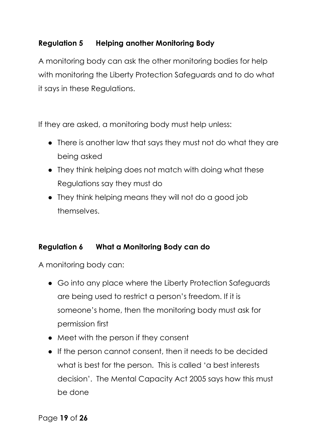## **Regulation 5 Helping another Monitoring Body**

A monitoring body can ask the other monitoring bodies for help with monitoring the Liberty Protection Safeguards and to do what it says in these Regulations.

If they are asked, a monitoring body must help unless:

- There is another law that says they must not do what they are being asked
- They think helping does not match with doing what these Regulations say they must do
- They think helping means they will not do a good job themselves.

### **Regulation 6 What a Monitoring Body can do**

A monitoring body can:

- Go into any place where the Liberty Protection Safeguards are being used to restrict a person's freedom. If it is someone's home, then the monitoring body must ask for permission first
- Meet with the person if they consent
- If the person cannot consent, then it needs to be decided what is best for the person. This is called 'a best interests decision'. The Mental Capacity Act 2005 says how this must be done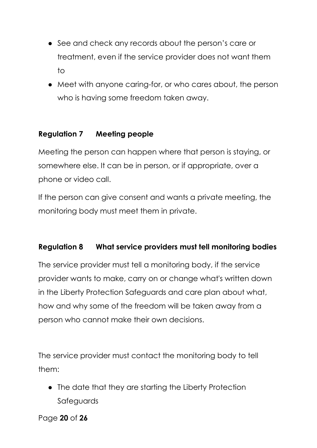- See and check any records about the person's care or treatment, even if the service provider does not want them to
- Meet with anyone caring-for, or who cares about, the person who is having some freedom taken away.

## **Regulation 7 Meeting people**

Meeting the person can happen where that person is staying, or somewhere else. It can be in person, or if appropriate, over a phone or video call.

If the person can give consent and wants a private meeting, the monitoring body must meet them in private.

### **Regulation 8 What service providers must tell monitoring bodies**

The service provider must tell a monitoring body, if the service provider wants to make, carry on or change what's written down in the Liberty Protection Safeguards and care plan about what, how and why some of the freedom will be taken away from a person who cannot make their own decisions.

The service provider must contact the monitoring body to tell them:

● The date that they are starting the Liberty Protection Safeguards

Page **20** of **26**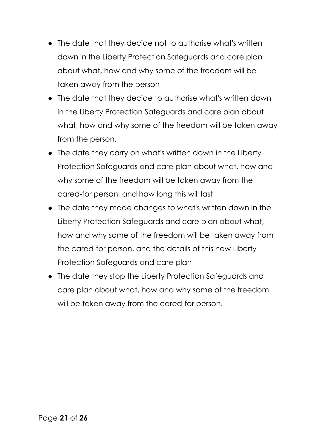- The date that they decide not to authorise what's written down in the Liberty Protection Safeguards and care plan about what, how and why some of the freedom will be taken away from the person
- The date that they decide to authorise what's written down in the Liberty Protection Safeguards and care plan about what, how and why some of the freedom will be taken away from the person.
- The date they carry on what's written down in the Liberty Protection Safeguards and care plan about what, how and why some of the freedom will be taken away from the cared-for person, and how long this will last
- The date they made changes to what's written down in the Liberty Protection Safeguards and care plan about what, how and why some of the freedom will be taken away from the cared-for person, and the details of this new Liberty Protection Safeguards and care plan
- The date they stop the Liberty Protection Safeguards and care plan about what, how and why some of the freedom will be taken away from the cared-for person.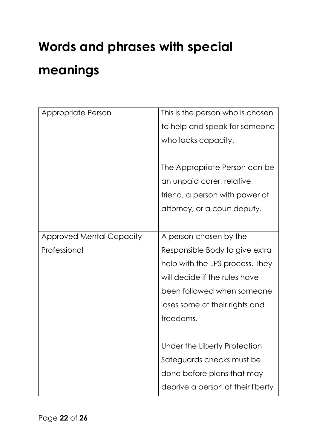# **Words and phrases with special meanings**

| Appropriate Person              | This is the person who is chosen  |
|---------------------------------|-----------------------------------|
|                                 | to help and speak for someone     |
|                                 | who lacks capacity.               |
|                                 |                                   |
|                                 | The Appropriate Person can be     |
|                                 | an unpaid carer, relative,        |
|                                 | friend, a person with power of    |
|                                 | attorney, or a court deputy.      |
|                                 |                                   |
| <b>Approved Mental Capacity</b> | A person chosen by the            |
| Professional                    | Responsible Body to give extra    |
|                                 | help with the LPS process. They   |
|                                 | will decide if the rules have     |
|                                 | been followed when someone        |
|                                 | loses some of their rights and    |
|                                 | freedoms.                         |
|                                 |                                   |
|                                 | Under the Liberty Protection      |
|                                 | Safeguards checks must be         |
|                                 | done before plans that may        |
|                                 | deprive a person of their liberty |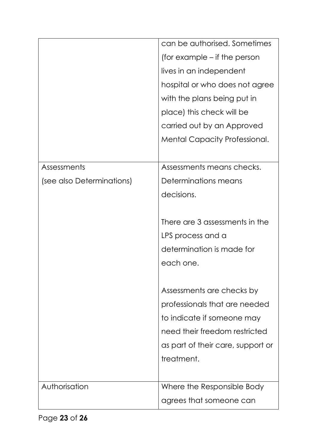|                           | can be authorised. Sometimes         |
|---------------------------|--------------------------------------|
|                           | (for example – if the person         |
|                           | lives in an independent              |
|                           | hospital or who does not agree       |
|                           | with the plans being put in          |
|                           | place) this check will be            |
|                           | carried out by an Approved           |
|                           | <b>Mental Capacity Professional.</b> |
|                           |                                      |
| Assessments               | Assessments means checks.            |
| (see also Determinations) | Determinations means                 |
|                           | decisions.                           |
|                           |                                      |
|                           | There are 3 assessments in the       |
|                           | LPS process and a                    |
|                           | determination is made for            |
|                           | each one.                            |
|                           |                                      |
|                           | Assessments are checks by            |
|                           | professionals that are needed        |
|                           | to indicate if someone may           |
|                           | need their freedom restricted        |
|                           | as part of their care, support or    |
|                           | treatment.                           |
|                           |                                      |
| Authorisation             | Where the Responsible Body           |
|                           | agrees that someone can              |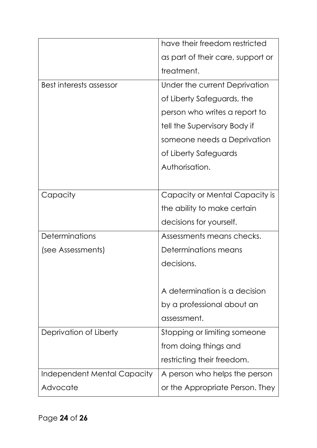|                             | have their freedom restricted     |
|-----------------------------|-----------------------------------|
|                             | as part of their care, support or |
|                             | treatment.                        |
| Best interests assessor     | Under the current Deprivation     |
|                             | of Liberty Safeguards, the        |
|                             | person who writes a report to     |
|                             | tell the Supervisory Body if      |
|                             | someone needs a Deprivation       |
|                             | of Liberty Safeguards             |
|                             | Authorisation.                    |
|                             |                                   |
| Capacity                    | Capacity or Mental Capacity is    |
|                             | the ability to make certain       |
|                             | decisions for yourself.           |
| <b>Determinations</b>       | Assessments means checks.         |
| (see Assessments)           | Determinations means              |
|                             | decisions.                        |
|                             |                                   |
|                             | A determination is a decision     |
|                             | by a professional about an        |
|                             | assessment.                       |
| Deprivation of Liberty      | Stopping or limiting someone      |
|                             | from doing things and             |
|                             | restricting their freedom.        |
| Independent Mental Capacity | A person who helps the person     |
| Advocate                    | or the Appropriate Person. They   |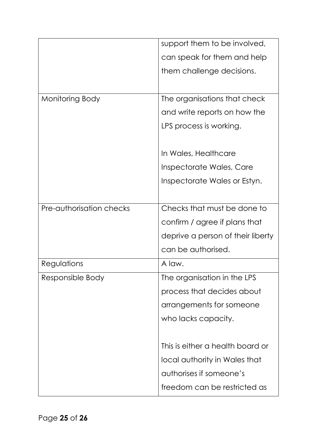|                          | support them to be involved,      |
|--------------------------|-----------------------------------|
|                          | can speak for them and help       |
|                          | them challenge decisions.         |
|                          |                                   |
| Monitoring Body          | The organisations that check      |
|                          | and write reports on how the      |
|                          | LPS process is working.           |
|                          |                                   |
|                          | In Wales, Healthcare              |
|                          | Inspectorate Wales, Care          |
|                          | Inspectorate Wales or Estyn.      |
|                          |                                   |
| Pre-authorisation checks | Checks that must be done to       |
|                          | confirm / agree if plans that     |
|                          | deprive a person of their liberty |
|                          | can be authorised.                |
| Regulations              | A law.                            |
| Responsible Body         | The organisation in the LPS       |
|                          | process that decides about        |
|                          | arrangements for someone          |
|                          | who lacks capacity.               |
|                          |                                   |
|                          | This is either a health board or  |
|                          | local authority in Wales that     |
|                          | authorises if someone's           |
|                          | freedom can be restricted as      |